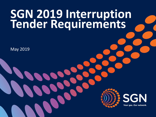# **SGN 2019 Interruption Tender Requirements**

May 2019



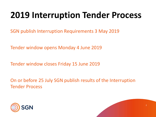# **2019 Interruption Tender Process**

SGN publish Interruption Requirements 3 May 2019

Tender window opens Monday 4 June 2019

Tender window closes Friday 15 June 2019

On or before 25 July SGN publish results of the Interruption Tender Process



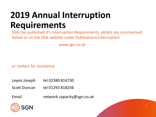# **2019 Annual Interruption Requirements**

SGN has published it's Interruption Requirements, details are summarised below or on the SGN website under Publications;Interruption

www.sgn.co.uk

or contact for assistance

- Leyon Joseph tel  $02380816730$
- Scott Duncan tel 01293 818256
- Email network.capacity@sgn.co.uk



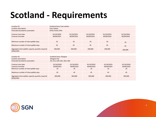### **Scotland - Requirements**

| Location ID                                                     | Scotland Zone; East Lothian |            |            |            |            |  |  |
|-----------------------------------------------------------------|-----------------------------|------------|------------|------------|------------|--|--|
| Location description                                            | East Lothian                |            |            |            |            |  |  |
| Postcode boundaries (outcodes)                                  | EH33, EH34, EH41            |            |            |            |            |  |  |
| Contract start date                                             | 01/10/2020                  | 01/10/2021 | 01/10/2022 | 01/10/2023 | 01/10/2024 |  |  |
| Contract end date                                               | 30/09/2021                  | 30/09/2022 | 30/09/2023 | 30/09/2024 | 30/09/2025 |  |  |
| Minimum number of interruptible days                            | 10                          | 10         | 10         | 10         | 10         |  |  |
| Maximum number of interruptible days                            | 45                          | 45         | 45         | 45         | 45         |  |  |
| Aggregate interruptible capacity quantity required<br>(SOQ) kWh | 200,000                     | 200,000    | 200,000    | 200,000    | 200,000    |  |  |

| Location ID                                                     | Scotland Zone; Glasgow      |            |            |            |            |  |
|-----------------------------------------------------------------|-----------------------------|------------|------------|------------|------------|--|
| Location description                                            | Glasgow City                |            |            |            |            |  |
| Postcode boundaries (outcodes)                                  | G3, G12, G20, G61, G62, G81 |            |            |            |            |  |
| Contract start date                                             | 01/10/2020                  | 01/10/2021 | 01/10/2022 | 01/10/2023 | 01/10/2024 |  |
| Contract end date                                               | 30/09/2021                  | 30/09/2022 | 30/09/2023 | 30/09/2024 | 30/09/2025 |  |
| Minimum number of interruptible days                            | 10                          | 10         | 10         | 10         | 10         |  |
| Maximum number of interruptible days                            | 45                          | 45         | 45         | 45         | 45         |  |
| Aggregate interruptible capacity quantity required<br>(SOQ) kWh | 300,000                     | 300,000    | 300,000    | 300,000    | 300,000    |  |



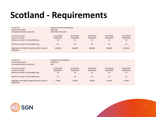### **Scotland - Requirements**

| Location ID                                                     | Scotland Zone; South Edinburgh |            |            |            |            |  |
|-----------------------------------------------------------------|--------------------------------|------------|------------|------------|------------|--|
| Location description                                            | Edinburgh                      |            |            |            |            |  |
| Postcode boundaries (outcodes)                                  | EH9, EH10, EH16, EH22          |            |            |            |            |  |
| Contract start date                                             | 01/10/2020                     | 01/10/2021 | 01/10/2022 | 01/10/2023 | 01/10/2024 |  |
| Contract end date                                               | 30/09/2021                     | 30/09/2022 | 30/09/2023 | 30/09/2024 | 30/09/2025 |  |
| Minimum number of interruptible days                            | 10                             | 10         | 10         | 10         | 10         |  |
| Maximum number of interruptible days                            | 45                             | 45         | 45         | 45         | 45         |  |
| Aggregate interruptible capacity quantity required<br>(SOQ) kWh | 600,000                        | 600,000    | 600,000    | 600,000    | 600,000    |  |

| Location ID                                                     | Scotland Zone; Strathblane |            |            |            |            |  |
|-----------------------------------------------------------------|----------------------------|------------|------------|------------|------------|--|
| Location description                                            | Strathblane                |            |            |            |            |  |
| Postcode boundaries (outcodes)                                  | G63                        |            |            |            |            |  |
| Contract start date                                             | 01/10/2020                 | 01/10/2021 | 01/10/2022 | 01/10/2023 | 01/10/2024 |  |
| Contract end date                                               | 30/09/2021                 | 30/09/2022 | 30/09/2023 | 30/09/2024 | 30/09/2025 |  |
| Minimum number of interruptible days                            | 10                         | 10         | 10         | 10         | 10         |  |
| Maximum number of interruptible days                            | 45                         | 45         | 45         | 45         | 45         |  |
| Aggregate interruptible capacity quantity required<br>(SOQ) kWh | 45,000                     | 45,000     | 45,000     | 45,000     | 45,000     |  |